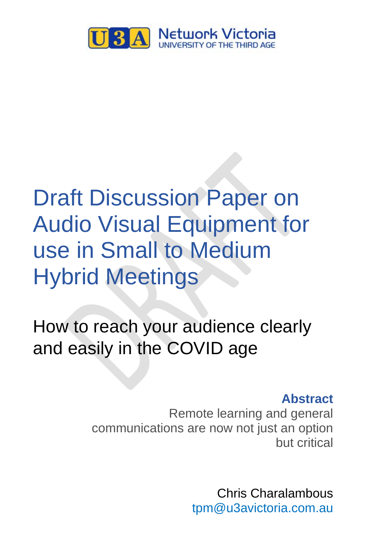

# Draft Discussion Paper on Audio Visual Equipment for use in Small to Medium Hybrid Meetings

How to reach your audience clearly and easily in the COVID age

# **Abstract**

Remote learning and general communications are now not just an option but critical

> Chris Charalambous tpm@u3avictoria.com.au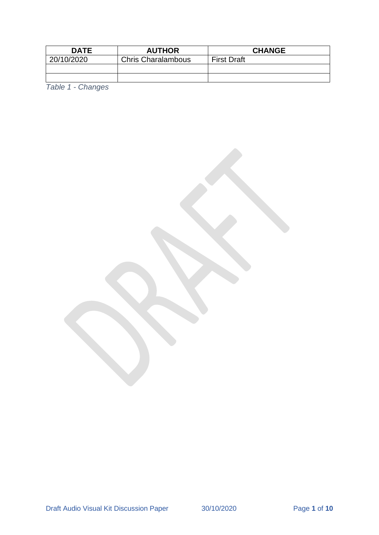| <b>DATE</b> | <b>AUTHOR</b>             | <b>CHANGE</b>      |
|-------------|---------------------------|--------------------|
| 20/10/2020  | <b>Chris Charalambous</b> | <b>First Draft</b> |
|             |                           |                    |
|             |                           |                    |

*Table 1 - Changes*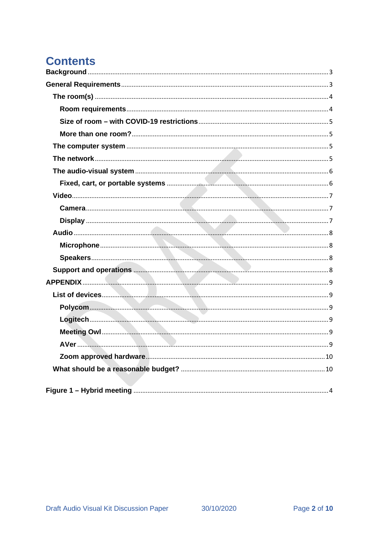# **Contents**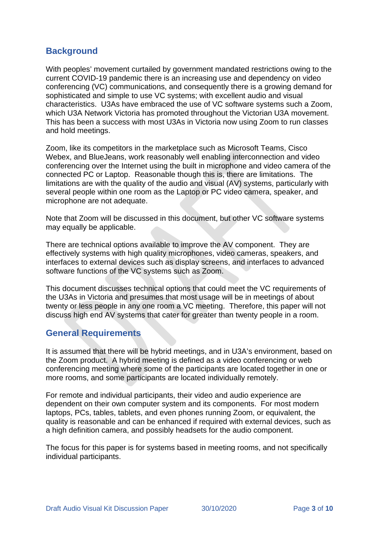## <span id="page-3-0"></span>**Background**

With peoples' movement curtailed by government mandated restrictions owing to the current COVID-19 pandemic there is an increasing use and dependency on video conferencing (VC) communications, and consequently there is a growing demand for sophisticated and simple to use VC systems; with excellent audio and visual characteristics. U3As have embraced the use of VC software systems such a Zoom, which U3A Network Victoria has promoted throughout the Victorian U3A movement. This has been a success with most U3As in Victoria now using Zoom to run classes and hold meetings.

Zoom, like its competitors in the marketplace such as Microsoft Teams, Cisco Webex, and BlueJeans, work reasonably well enabling interconnection and video conferencing over the Internet using the built in microphone and video camera of the connected PC or Laptop. Reasonable though this is, there are limitations. The limitations are with the quality of the audio and visual (AV) systems, particularly with several people within one room as the Laptop or PC video camera, speaker, and microphone are not adequate.

Note that Zoom will be discussed in this document, but other VC software systems may equally be applicable.

There are technical options available to improve the AV component. They are effectively systems with high quality microphones, video cameras, speakers, and interfaces to external devices such as display screens, and interfaces to advanced software functions of the VC systems such as Zoom.

This document discusses technical options that could meet the VC requirements of the U3As in Victoria and presumes that most usage will be in meetings of about twenty or less people in any one room a VC meeting. Therefore, this paper will not discuss high end AV systems that cater for greater than twenty people in a room.

# <span id="page-3-1"></span>**General Requirements**

It is assumed that there will be hybrid meetings, and in U3A's environment, based on the Zoom product. A hybrid meeting is defined as a video conferencing or web conferencing meeting where some of the participants are located together in one or more rooms, and some participants are located individually remotely.

For remote and individual participants, their video and audio experience are dependent on their own computer system and its components. For most modern laptops, PCs, tables, tablets, and even phones running Zoom, or equivalent, the quality is reasonable and can be enhanced if required with external devices, such as a high definition camera, and possibly headsets for the audio component.

The focus for this paper is for systems based in meeting rooms, and not specifically individual participants.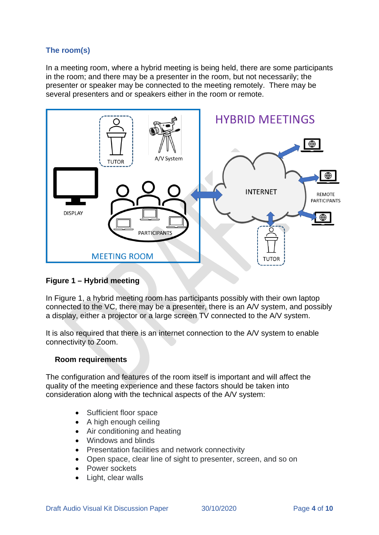### <span id="page-4-0"></span>**The room(s)**

In a meeting room, where a hybrid meeting is being held, there are some participants in the room; and there may be a presenter in the room, but not necessarily; the presenter or speaker may be connected to the meeting remotely. There may be several presenters and or speakers either in the room or remote.



#### <span id="page-4-2"></span>**Figure 1 – Hybrid meeting**

In Figure 1, a hybrid meeting room has participants possibly with their own laptop connected to the VC, there may be a presenter, there is an A/V system, and possibly a display, either a projector or a large screen TV connected to the A/V system.

It is also required that there is an internet connection to the A/V system to enable connectivity to Zoom.

#### <span id="page-4-1"></span>**Room requirements**

The configuration and features of the room itself is important and will affect the quality of the meeting experience and these factors should be taken into consideration along with the technical aspects of the A/V system:

- Sufficient floor space
- A high enough ceiling
- Air conditioning and heating
- Windows and blinds
- Presentation facilities and network connectivity
- Open space, clear line of sight to presenter, screen, and so on
- Power sockets
- Light, clear walls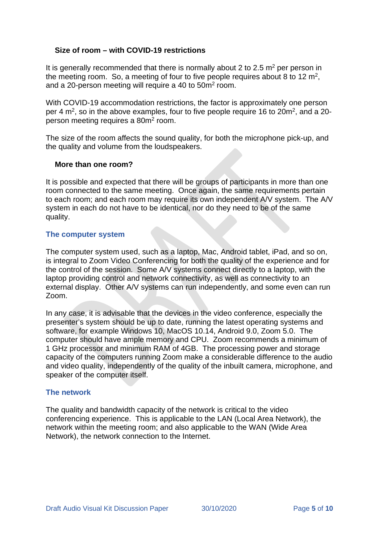#### <span id="page-5-0"></span>**Size of room – with COVID-19 restrictions**

It is generally recommended that there is normally about 2 to 2.5  $m<sup>2</sup>$  per person in the meeting room. So, a meeting of four to five people requires about 8 to 12  $m<sup>2</sup>$ , and a 20-person meeting will require a 40 to 50m2 room.

With COVID-19 accommodation restrictions, the factor is approximately one person per 4  $m^2$ , so in the above examples, four to five people require 16 to 20 $m^2$ , and a 20person meeting requires a 80m2 room.

The size of the room affects the sound quality, for both the microphone pick-up, and the quality and volume from the loudspeakers.

#### <span id="page-5-1"></span>**More than one room?**

It is possible and expected that there will be groups of participants in more than one room connected to the same meeting. Once again, the same requirements pertain to each room; and each room may require its own independent A/V system. The A/V system in each do not have to be identical, nor do they need to be of the same quality.

#### <span id="page-5-2"></span>**The computer system**

The computer system used, such as a laptop, Mac, Android tablet, iPad, and so on, is integral to Zoom Video Conferencing for both the quality of the experience and for the control of the session. Some A/V systems connect directly to a laptop, with the laptop providing control and network connectivity, as well as connectivity to an external display. Other A/V systems can run independently, and some even can run Zoom.

In any case, it is advisable that the devices in the video conference, especially the presenter's system should be up to date, running the latest operating systems and software, for example Windows 10, MacOS 10.14, Android 9.0, Zoom 5.0. The computer should have ample memory and CPU. Zoom recommends a minimum of 1 GHz processor and minimum RAM of 4GB. The processing power and storage capacity of the computers running Zoom make a considerable difference to the audio and video quality, independently of the quality of the inbuilt camera, microphone, and speaker of the computer itself.

#### <span id="page-5-3"></span>**The network**

The quality and bandwidth capacity of the network is critical to the video conferencing experience. This is applicable to the LAN (Local Area Network), the network within the meeting room; and also applicable to the WAN (Wide Area Network), the network connection to the Internet.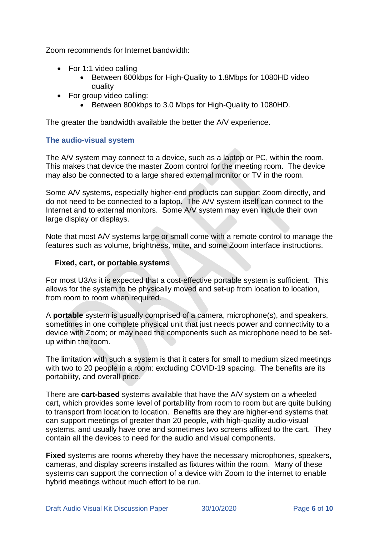Zoom recommends for Internet bandwidth:

- For 1:1 video calling
	- Between 600kbps for High-Quality to 1.8Mbps for 1080HD video quality
- For group video calling:
	- Between 800kbps to 3.0 Mbps for High-Quality to 1080HD.

The greater the bandwidth available the better the A/V experience.

#### <span id="page-6-0"></span>**The audio-visual system**

The A/V system may connect to a device, such as a laptop or PC, within the room. This makes that device the master Zoom control for the meeting room. The device may also be connected to a large shared external monitor or TV in the room.

Some A/V systems, especially higher-end products can support Zoom directly, and do not need to be connected to a laptop. The A/V system itself can connect to the Internet and to external monitors. Some A/V system may even include their own large display or displays.

Note that most A/V systems large or small come with a remote control to manage the features such as volume, brightness, mute, and some Zoom interface instructions.

#### <span id="page-6-1"></span>**Fixed, cart, or portable systems**

For most U3As it is expected that a cost-effective portable system is sufficient. This allows for the system to be physically moved and set-up from location to location, from room to room when required.

A **portable** system is usually comprised of a camera, microphone(s), and speakers, sometimes in one complete physical unit that just needs power and connectivity to a device with Zoom; or may need the components such as microphone need to be setup within the room.

The limitation with such a system is that it caters for small to medium sized meetings with two to 20 people in a room: excluding COVID-19 spacing. The benefits are its portability, and overall price.

There are **cart-based** systems available that have the A/V system on a wheeled cart, which provides some level of portability from room to room but are quite bulking to transport from location to location. Benefits are they are higher-end systems that can support meetings of greater than 20 people, with high-quality audio-visual systems, and usually have one and sometimes two screens affixed to the cart. They contain all the devices to need for the audio and visual components.

**Fixed** systems are rooms whereby they have the necessary microphones, speakers, cameras, and display screens installed as fixtures within the room. Many of these systems can support the connection of a device with Zoom to the internet to enable hybrid meetings without much effort to be run.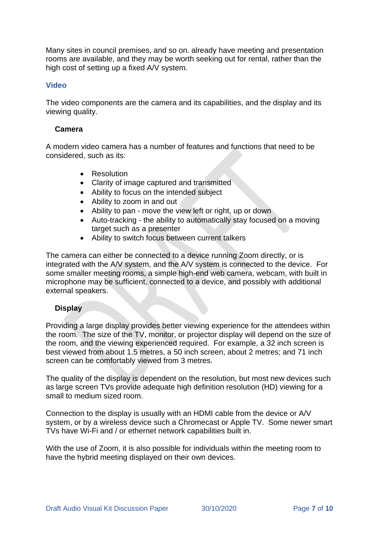Many sites in council premises, and so on. already have meeting and presentation rooms are available, and they may be worth seeking out for rental, rather than the high cost of setting up a fixed A/V system.

#### <span id="page-7-0"></span>**Video**

The video components are the camera and its capabilities, and the display and its viewing quality.

#### <span id="page-7-1"></span>**Camera**

A modern video camera has a number of features and functions that need to be considered, such as its:

- Resolution
- Clarity of image captured and transmitted
- Ability to focus on the intended subject
- Ability to zoom in and out
- Ability to pan move the view left or right, up or down
- Auto-tracking the ability to automatically stay focused on a moving target such as a presenter
- Ability to switch focus between current talkers

The camera can either be connected to a device running Zoom directly, or is integrated with the A/V system, and the A/V system is connected to the device. For some smaller meeting rooms, a simple high-end web camera, webcam, with built in microphone may be sufficient, connected to a device, and possibly with additional external speakers.

#### <span id="page-7-2"></span>**Display**

Providing a large display provides better viewing experience for the attendees within the room. The size of the TV, monitor, or projector display will depend on the size of the room, and the viewing experienced required. For example, a 32 inch screen is best viewed from about 1.5 metres, a 50 inch screen, about 2 metres; and 71 inch screen can be comfortably viewed from 3 metres.

The quality of the display is dependent on the resolution, but most new devices such as large screen TVs provide adequate high definition resolution (HD) viewing for a small to medium sized room.

Connection to the display is usually with an HDMI cable from the device or A/V system, or by a wireless device such a Chromecast or Apple TV. Some newer smart TVs have Wi-Fi and / or ethernet network capabilities built in.

With the use of Zoom, it is also possible for individuals within the meeting room to have the hybrid meeting displayed on their own devices.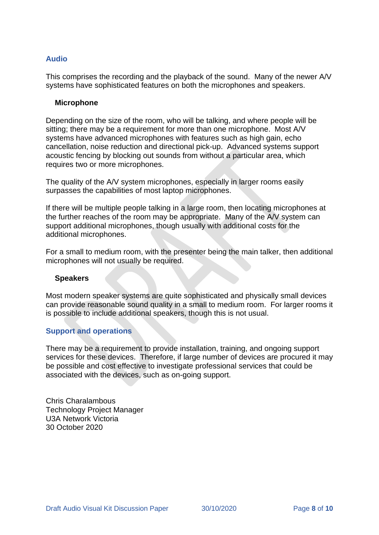#### <span id="page-8-0"></span>**Audio**

This comprises the recording and the playback of the sound. Many of the newer A/V systems have sophisticated features on both the microphones and speakers.

#### <span id="page-8-1"></span>**Microphone**

Depending on the size of the room, who will be talking, and where people will be sitting; there may be a requirement for more than one microphone. Most A/V systems have advanced microphones with features such as high gain, echo cancellation, noise reduction and directional pick-up. Advanced systems support acoustic fencing by blocking out sounds from without a particular area, which requires two or more microphones.

The quality of the A/V system microphones, especially in larger rooms easily surpasses the capabilities of most laptop microphones.

If there will be multiple people talking in a large room, then locating microphones at the further reaches of the room may be appropriate. Many of the A/V system can support additional microphones, though usually with additional costs for the additional microphones.

For a small to medium room, with the presenter being the main talker, then additional microphones will not usually be required.

#### <span id="page-8-2"></span>**Speakers**

Most modern speaker systems are quite sophisticated and physically small devices can provide reasonable sound quality in a small to medium room. For larger rooms it is possible to include additional speakers, though this is not usual.

#### <span id="page-8-3"></span>**Support and operations**

There may be a requirement to provide installation, training, and ongoing support services for these devices. Therefore, if large number of devices are procured it may be possible and cost effective to investigate professional services that could be associated with the devices, such as on-going support.

Chris Charalambous Technology Project Manager U3A Network Victoria 30 October 2020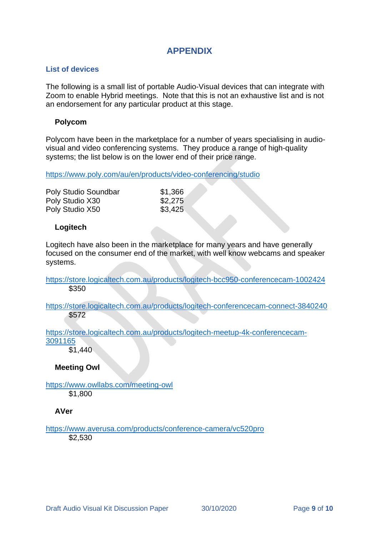## **APPENDIX**

#### <span id="page-9-1"></span><span id="page-9-0"></span>**List of devices**

The following is a small list of portable Audio-Visual devices that can integrate with Zoom to enable Hybrid meetings. Note that this is not an exhaustive list and is not an endorsement for any particular product at this stage.

#### <span id="page-9-2"></span>**Polycom**

Polycom have been in the marketplace for a number of years specialising in audiovisual and video conferencing systems. They produce a range of high-quality systems; the list below is on the lower end of their price range.

<https://www.poly.com/au/en/products/video-conferencing/studio>

| Poly Studio Soundbar | \$1,366 |
|----------------------|---------|
| Poly Studio X30      | \$2,275 |
| Poly Studio X50      | \$3,425 |

#### <span id="page-9-3"></span>**Logitech**

Logitech have also been in the marketplace for many years and have generally focused on the consumer end of the market, with well know webcams and speaker systems.

<https://store.logicaltech.com.au/products/logitech-bcc950-conferencecam-1002424> \$350

<https://store.logicaltech.com.au/products/logitech-conferencecam-connect-3840240> \$572

[https://store.logicaltech.com.au/products/logitech-meetup-4k-conferencecam-](https://store.logicaltech.com.au/products/logitech-meetup-4k-conferencecam-3091165)[3091165](https://store.logicaltech.com.au/products/logitech-meetup-4k-conferencecam-3091165)

\$1,440

<span id="page-9-4"></span>**Meeting Owl**

<https://www.owllabs.com/meeting-owl> \$1,800

#### <span id="page-9-5"></span>**AVer**

<https://www.averusa.com/products/conference-camera/vc520pro> \$2,530